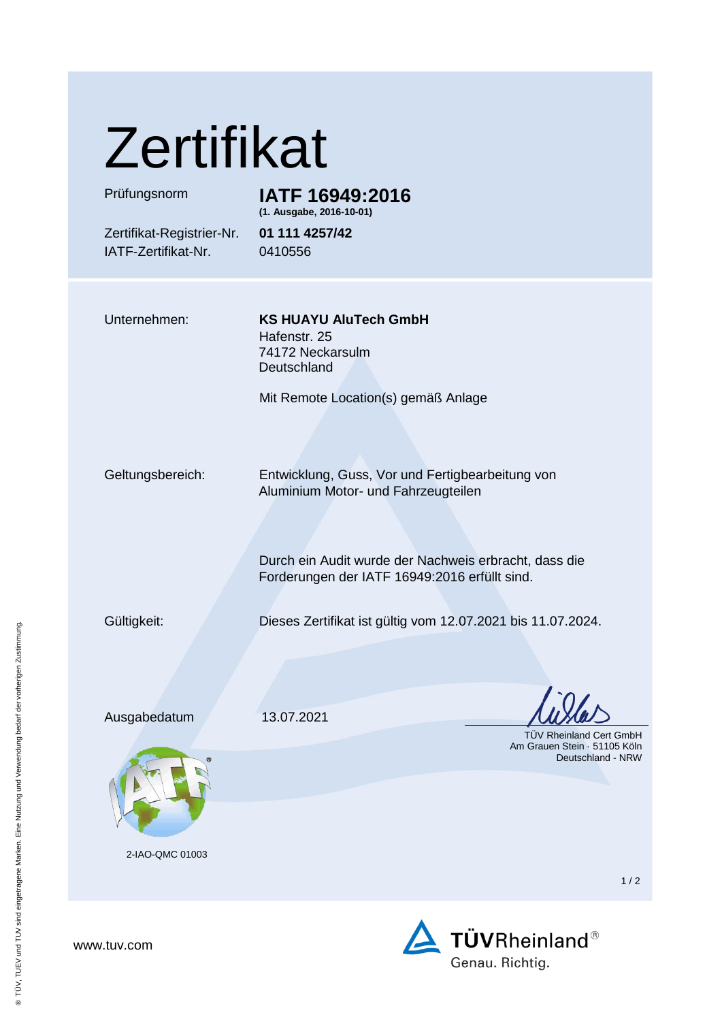| <b>Zertifikat</b>                                |                                                                                                                                                                                                   |  |
|--------------------------------------------------|---------------------------------------------------------------------------------------------------------------------------------------------------------------------------------------------------|--|
| Prüfungsnorm                                     | IATF 16949:2016<br>(1. Ausgabe, 2016-10-01)                                                                                                                                                       |  |
| Zertifikat-Registrier-Nr.<br>IATF-Zertifikat-Nr. | 01 111 4257/42<br>0410556                                                                                                                                                                         |  |
| Unternehmen:                                     | <b>KS HUAYU AluTech GmbH</b><br>Hafenstr. 25<br>74172 Neckarsulm<br>Deutschland<br>Mit Remote Location(s) gemäß Anlage                                                                            |  |
| Geltungsbereich:                                 | Entwicklung, Guss, Vor und Fertigbearbeitung von<br>Aluminium Motor- und Fahrzeugteilen<br>Durch ein Audit wurde der Nachweis erbracht, dass die<br>Forderungen der IATF 16949:2016 erfüllt sind. |  |
| Gültigkeit:                                      | Dieses Zertifikat ist gültig vom 12.07.2021 bis 11.07.2024.                                                                                                                                       |  |
| Ausgabedatum                                     | 13.07.2021<br><b>TÜV Rheinland Cert GmbH</b><br>Am Grauen Stein · 51105 Köln<br>Deutschland - NRW                                                                                                 |  |

2-IAO-QMC 01003

1 / 2



® TÜV, TUEV und TUV sind eingetragene Marken. Eine Nutzung und Verwendung bedarf der vorherigen Zustimmung.

® TÜV, TUEV und TUV sind eingetragene Marken. Eine Nutzung und Verwendung bedarf der vorherigen Zustimmung.

www.tuv.com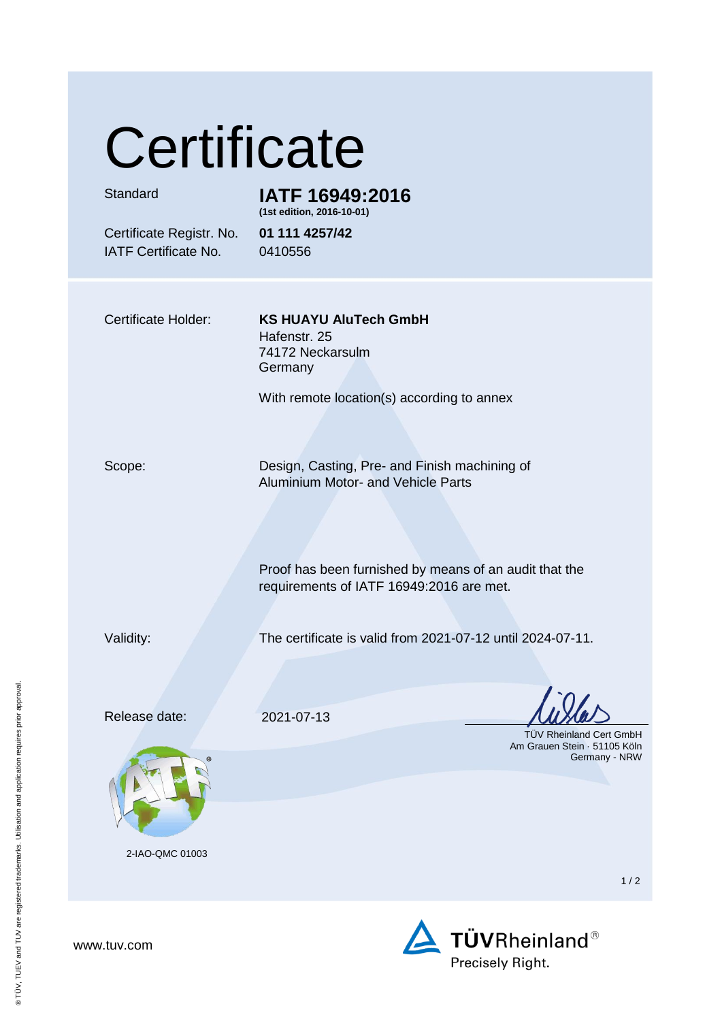## **Certificate**

| Standard                                                | IATF 16949:2016<br>(1st edition, 2016-10-01)                                                       |
|---------------------------------------------------------|----------------------------------------------------------------------------------------------------|
| Certificate Registr. No.<br><b>IATF Certificate No.</b> | 01 111 4257/42<br>0410556                                                                          |
|                                                         |                                                                                                    |
| Certificate Holder:                                     | <b>KS HUAYU AluTech GmbH</b><br>Hafenstr. 25<br>74172 Neckarsulm<br>Germany                        |
|                                                         | With remote location(s) according to annex                                                         |
| Scope:                                                  | Design, Casting, Pre- and Finish machining of<br><b>Aluminium Motor- and Vehicle Parts</b>         |
|                                                         | Proof has been furnished by means of an audit that the<br>requirements of IATF 16949:2016 are met. |
| Validity:                                               | The certificate is valid from 2021-07-12 until 2024-07-11.                                         |
|                                                         |                                                                                                    |

Release date: 2021-07-13



2-IAO-QMC 01003

 TÜV Rheinland Cert GmbH Am Grauen Stein · 51105 Köln Germany - NRW

 $1/2$